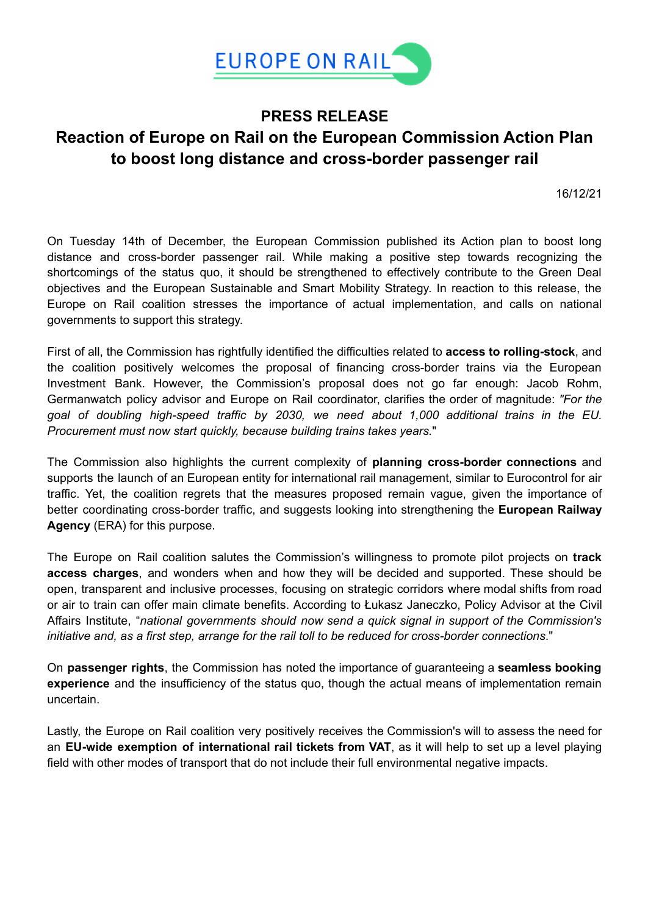

## **PRESS RELEASE Reaction of Europe on Rail on the European Commission Action Plan to boost long distance and cross-border passenger rail**

16/12/21

On Tuesday 14th of December, the European Commission published its Action plan to boost long distance and cross-border passenger rail. While making a positive step towards recognizing the shortcomings of the status quo, it should be strengthened to effectively contribute to the Green Deal objectives and the European Sustainable and Smart Mobility Strategy. In reaction to this release, the Europe on Rail coalition stresses the importance of actual implementation, and calls on national governments to support this strategy.

First of all, the Commission has rightfully identified the difficulties related to **access to rolling-stock**, and the coalition positively welcomes the proposal of financing cross-border trains via the European Investment Bank. However, the Commission's proposal does not go far enough: Jacob Rohm, Germanwatch policy advisor and Europe on Rail coordinator, clarifies the order of magnitude: *"For the goal of doubling high-speed traffic by 2030, we need about 1,000 additional trains in the EU. Procurement must now start quickly, because building trains takes years.*"

The Commission also highlights the current complexity of **planning cross-border connections** and supports the launch of an European entity for international rail management, similar to Eurocontrol for air traffic. Yet, the coalition regrets that the measures proposed remain vague, given the importance of better coordinating cross-border traffic, and suggests looking into strengthening the **European Railway Agency** (ERA) for this purpose.

The Europe on Rail coalition salutes the Commission's willingness to promote pilot projects on **track access charges**, and wonders when and how they will be decided and supported. These should be open, transparent and inclusive processes, focusing on strategic corridors where modal shifts from road or air to train can offer main climate benefits. According to Łukasz Janeczko, Policy Advisor at the Civil Affairs Institute, "*national governments should now send a quick signal in support of the Commission's initiative and, as a first step, arrange for the rail toll to be reduced for cross-border connections*."

On **passenger rights**, the Commission has noted the importance of guaranteeing a **seamless booking experience** and the insufficiency of the status quo, though the actual means of implementation remain uncertain.

Lastly, the Europe on Rail coalition very positively receives the Commission's will to assess the need for an **EU-wide exemption of international rail tickets from VAT**, as it will help to set up a level playing field with other modes of transport that do not include their full environmental negative impacts.